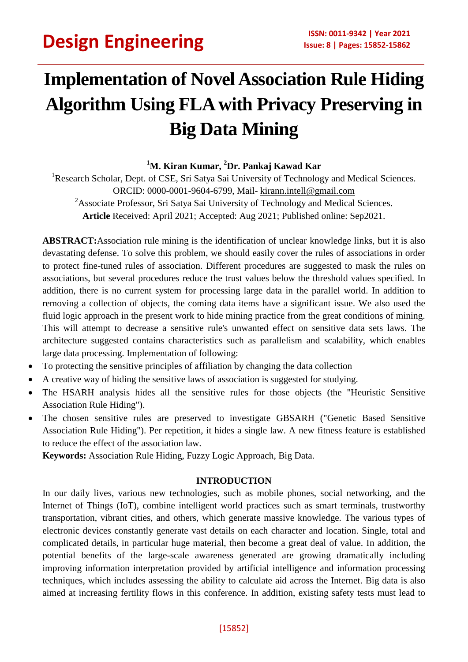## **Implementation of Novel Association Rule Hiding Algorithm Using FLA with Privacy Preserving in Big Data Mining**

### **<sup>1</sup>M. Kiran Kumar, <sup>2</sup>Dr. Pankaj Kawad Kar**

<sup>1</sup>Research Scholar, Dept. of CSE, Sri Satya Sai University of Technology and Medical Sciences. ORCID: 0000-0001-9604-6799, Mail- [kirann.intell@gmail.com](mailto:kirann.intell@gmail.com) <sup>2</sup>Associate Professor, Sri Satya Sai University of Technology and Medical Sciences. **Article** Received: April 2021; Accepted: Aug 2021; Published online: Sep2021.

**ABSTRACT:**Association rule mining is the identification of unclear knowledge links, but it is also devastating defense. To solve this problem, we should easily cover the rules of associations in order to protect fine-tuned rules of association. Different procedures are suggested to mask the rules on associations, but several procedures reduce the trust values below the threshold values specified. In addition, there is no current system for processing large data in the parallel world. In addition to removing a collection of objects, the coming data items have a significant issue. We also used the fluid logic approach in the present work to hide mining practice from the great conditions of mining. This will attempt to decrease a sensitive rule's unwanted effect on sensitive data sets laws. The architecture suggested contains characteristics such as parallelism and scalability, which enables large data processing. Implementation of following:

- To protecting the sensitive principles of affiliation by changing the data collection
- A creative way of hiding the sensitive laws of association is suggested for studying.
- The HSARH analysis hides all the sensitive rules for those objects (the "Heuristic Sensitive Association Rule Hiding").
- The chosen sensitive rules are preserved to investigate GBSARH ("Genetic Based Sensitive Association Rule Hiding"). Per repetition, it hides a single law. A new fitness feature is established to reduce the effect of the association law.

**Keywords:** Association Rule Hiding, Fuzzy Logic Approach, Big Data.

#### **INTRODUCTION**

In our daily lives, various new technologies, such as mobile phones, social networking, and the Internet of Things (IoT), combine intelligent world practices such as smart terminals, trustworthy transportation, vibrant cities, and others, which generate massive knowledge. The various types of electronic devices constantly generate vast details on each character and location. Single, total and complicated details, in particular huge material, then become a great deal of value. In addition, the potential benefits of the large-scale awareness generated are growing dramatically including improving information interpretation provided by artificial intelligence and information processing techniques, which includes assessing the ability to calculate aid across the Internet. Big data is also aimed at increasing fertility flows in this conference. In addition, existing safety tests must lead to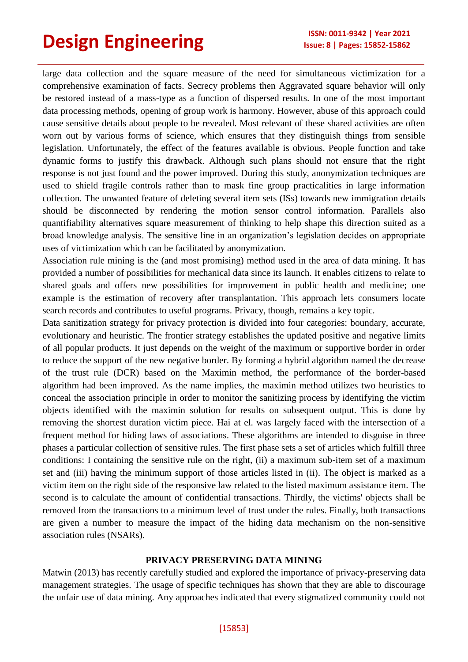large data collection and the square measure of the need for simultaneous victimization for a comprehensive examination of facts. Secrecy problems then Aggravated square behavior will only be restored instead of a mass-type as a function of dispersed results. In one of the most important data processing methods, opening of group work is harmony. However, abuse of this approach could cause sensitive details about people to be revealed. Most relevant of these shared activities are often worn out by various forms of science, which ensures that they distinguish things from sensible legislation. Unfortunately, the effect of the features available is obvious. People function and take dynamic forms to justify this drawback. Although such plans should not ensure that the right response is not just found and the power improved. During this study, anonymization techniques are used to shield fragile controls rather than to mask fine group practicalities in large information collection. The unwanted feature of deleting several item sets (ISs) towards new immigration details should be disconnected by rendering the motion sensor control information. Parallels also quantifiability alternatives square measurement of thinking to help shape this direction suited as a broad knowledge analysis. The sensitive line in an organization's legislation decides on appropriate uses of victimization which can be facilitated by anonymization.

Association rule mining is the (and most promising) method used in the area of data mining. It has provided a number of possibilities for mechanical data since its launch. It enables citizens to relate to shared goals and offers new possibilities for improvement in public health and medicine; one example is the estimation of recovery after transplantation. This approach lets consumers locate search records and contributes to useful programs. Privacy, though, remains a key topic.

Data sanitization strategy for privacy protection is divided into four categories: boundary, accurate, evolutionary and heuristic. The frontier strategy establishes the updated positive and negative limits of all popular products. It just depends on the weight of the maximum or supportive border in order to reduce the support of the new negative border. By forming a hybrid algorithm named the decrease of the trust rule (DCR) based on the Maximin method, the performance of the border-based algorithm had been improved. As the name implies, the maximin method utilizes two heuristics to conceal the association principle in order to monitor the sanitizing process by identifying the victim objects identified with the maximin solution for results on subsequent output. This is done by removing the shortest duration victim piece. Hai at el. was largely faced with the intersection of a frequent method for hiding laws of associations. These algorithms are intended to disguise in three phases a particular collection of sensitive rules. The first phase sets a set of articles which fulfill three conditions: I containing the sensitive rule on the right, (ii) a maximum sub-item set of a maximum set and (iii) having the minimum support of those articles listed in (ii). The object is marked as a victim item on the right side of the responsive law related to the listed maximum assistance item. The second is to calculate the amount of confidential transactions. Thirdly, the victims' objects shall be removed from the transactions to a minimum level of trust under the rules. Finally, both transactions are given a number to measure the impact of the hiding data mechanism on the non-sensitive association rules (NSARs).

#### **PRIVACY PRESERVING DATA MINING**

Matwin (2013) has recently carefully studied and explored the importance of privacy-preserving data management strategies. The usage of specific techniques has shown that they are able to discourage the unfair use of data mining. Any approaches indicated that every stigmatized community could not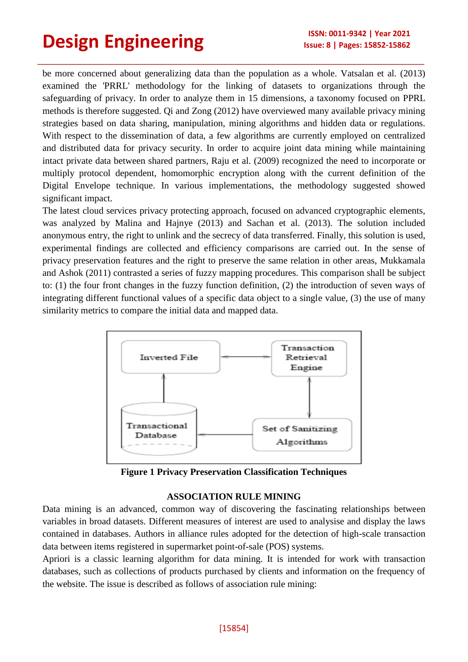be more concerned about generalizing data than the population as a whole. Vatsalan et al. (2013) examined the 'PRRL' methodology for the linking of datasets to organizations through the safeguarding of privacy. In order to analyze them in 15 dimensions, a taxonomy focused on PPRL methods is therefore suggested. Qi and Zong (2012) have overviewed many available privacy mining strategies based on data sharing, manipulation, mining algorithms and hidden data or regulations. With respect to the dissemination of data, a few algorithms are currently employed on centralized and distributed data for privacy security. In order to acquire joint data mining while maintaining intact private data between shared partners, Raju et al. (2009) recognized the need to incorporate or multiply protocol dependent, homomorphic encryption along with the current definition of the Digital Envelope technique. In various implementations, the methodology suggested showed significant impact.

The latest cloud services privacy protecting approach, focused on advanced cryptographic elements, was analyzed by Malina and Hajnye (2013) and Sachan et al. (2013). The solution included anonymous entry, the right to unlink and the secrecy of data transferred. Finally, this solution is used, experimental findings are collected and efficiency comparisons are carried out. In the sense of privacy preservation features and the right to preserve the same relation in other areas, Mukkamala and Ashok (2011) contrasted a series of fuzzy mapping procedures. This comparison shall be subject to: (1) the four front changes in the fuzzy function definition, (2) the introduction of seven ways of integrating different functional values of a specific data object to a single value, (3) the use of many similarity metrics to compare the initial data and mapped data.



**Figure 1 Privacy Preservation Classification Techniques**

#### **ASSOCIATION RULE MINING**

Data mining is an advanced, common way of discovering the fascinating relationships between variables in broad datasets. Different measures of interest are used to analysise and display the laws contained in databases. Authors in alliance rules adopted for the detection of high-scale transaction data between items registered in supermarket point-of-sale (POS) systems.

Apriori is a classic learning algorithm for data mining. It is intended for work with transaction databases, such as collections of products purchased by clients and information on the frequency of the website. The issue is described as follows of association rule mining: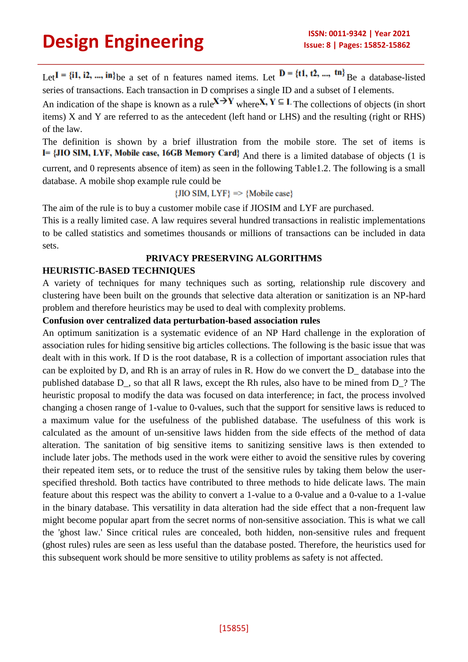Let  $I = \{i1, i2, ..., in\}$  be a set of n features named items. Let  $D = \{t1, t2, ..., tn\}$  Be a database-listed series of transactions. Each transaction in D comprises a single ID and a subset of I elements.

An indication of the shape is known as a rule  $X \to Y$  where  $X, Y \subseteq I$ . The collections of objects (in short items) X and Y are referred to as the antecedent (left hand or LHS) and the resulting (right or RHS) of the law.

The definition is shown by a brief illustration from the mobile store. The set of items is I= {JIO SIM, LYF, Mobile case, 16GB Memory Card} And there is a limited database of objects (1 is current, and 0 represents absence of item) as seen in the following Table1.2. The following is a small database. A mobile shop example rule could be

 $\{JIO SIM, LYF\} \Rightarrow \{Mobile case\}$ 

The aim of the rule is to buy a customer mobile case if JIOSIM and LYF are purchased.

This is a really limited case. A law requires several hundred transactions in realistic implementations to be called statistics and sometimes thousands or millions of transactions can be included in data sets.

#### **PRIVACY PRESERVING ALGORITHMS**

#### **HEURISTIC-BASED TECHNIQUES**

A variety of techniques for many techniques such as sorting, relationship rule discovery and clustering have been built on the grounds that selective data alteration or sanitization is an NP-hard problem and therefore heuristics may be used to deal with complexity problems.

#### **Confusion over centralized data perturbation-based association rules**

An optimum sanitization is a systematic evidence of an NP Hard challenge in the exploration of association rules for hiding sensitive big articles collections. The following is the basic issue that was dealt with in this work. If D is the root database, R is a collection of important association rules that can be exploited by D, and Rh is an array of rules in R. How do we convert the D\_ database into the published database D\_, so that all R laws, except the Rh rules, also have to be mined from D\_? The heuristic proposal to modify the data was focused on data interference; in fact, the process involved changing a chosen range of 1-value to 0-values, such that the support for sensitive laws is reduced to a maximum value for the usefulness of the published database. The usefulness of this work is calculated as the amount of un-sensitive laws hidden from the side effects of the method of data alteration. The sanitation of big sensitive items to sanitizing sensitive laws is then extended to include later jobs. The methods used in the work were either to avoid the sensitive rules by covering their repeated item sets, or to reduce the trust of the sensitive rules by taking them below the userspecified threshold. Both tactics have contributed to three methods to hide delicate laws. The main feature about this respect was the ability to convert a 1-value to a 0-value and a 0-value to a 1-value in the binary database. This versatility in data alteration had the side effect that a non-frequent law might become popular apart from the secret norms of non-sensitive association. This is what we call the 'ghost law.' Since critical rules are concealed, both hidden, non-sensitive rules and frequent (ghost rules) rules are seen as less useful than the database posted. Therefore, the heuristics used for this subsequent work should be more sensitive to utility problems as safety is not affected.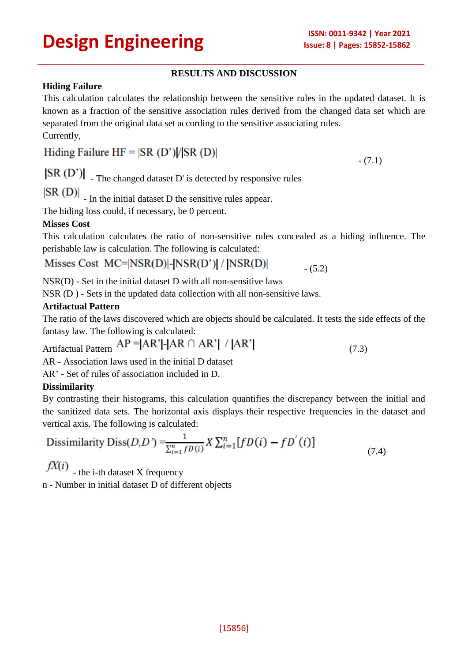$- (7.1)$ 

#### **RESULTS AND DISCUSSION**

#### **Hiding Failure**

This calculation calculates the relationship between the sensitive rules in the updated dataset. It is known as a fraction of the sensitive association rules derived from the changed data set which are separated from the original data set according to the sensitive associating rules. Currently,

### Hiding Failure  $HF = |SR (D')|/|SR (D)|$

 $|$ SR  $(D')$   $|$  - The changed dataset D' is detected by responsive rules

 $|\text{SR (D)}|$  - In the initial dataset D the sensitive rules appear.

The hiding loss could, if necessary, be 0 percent.

#### **Misses Cost**

This calculation calculates the ratio of non-sensitive rules concealed as a hiding influence. The perishable law is calculation. The following is calculated:

#### Misses Cost  $MC=|NSR(D)|-|NSR(D')|/|NSR(D)|$  $- (5.2)$

NSR(D) - Set in the initial dataset D with all non-sensitive laws

NSR (D ) - Sets in the updated data collection with all non-sensitive laws.

#### **Artifactual Pattern**

The ratio of the laws discovered which are objects should be calculated. It tests the side effects of the fantasy law. The following is calculated:

Artifactual Pattern  $AP = |AR'| - |AR \cap AR'| / |AR'|$  (7.3)

AR - Association laws used in the initial D dataset

AR' - Set of rules of association included in D.

#### **Dissimilarity**

By contrasting their histograms, this calculation quantifies the discrepancy between the initial and the sanitized data sets. The horizontal axis displays their respective frequencies in the dataset and vertical axis. The following is calculated:

Dissimilarity 
$$
\text{Diss}(D, D') = \frac{1}{\sum_{i=1}^{n} f D(i)} X \sum_{i=1}^{n} [f D(i) - f D^{'}(i)] \tag{7.4}
$$

 $fX(i)$  - the i-th dataset X frequency

n - Number in initial dataset D of different objects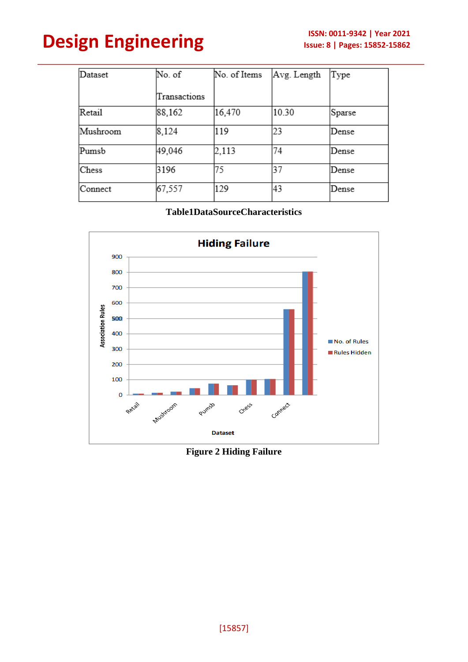| Dataset  | No. of       | No. of Items | Avg. Length | Type   |
|----------|--------------|--------------|-------------|--------|
|          | Transactions |              |             |        |
| Retail   | 88,162       | 16,470       | 10.30       | Sparse |
| Mushroom | 8,124        | 119          | 23          | Dense  |
| Pumsb    | 49,046       | 2,113        | 74          | Dense  |
| Chess    | 3196         | 75           | 37          | Dense  |
| Connect  | 67,557       | 129          | 43          | Dense  |

**Table1DataSourceCharacteristics**



**Figure 2 Hiding Failure**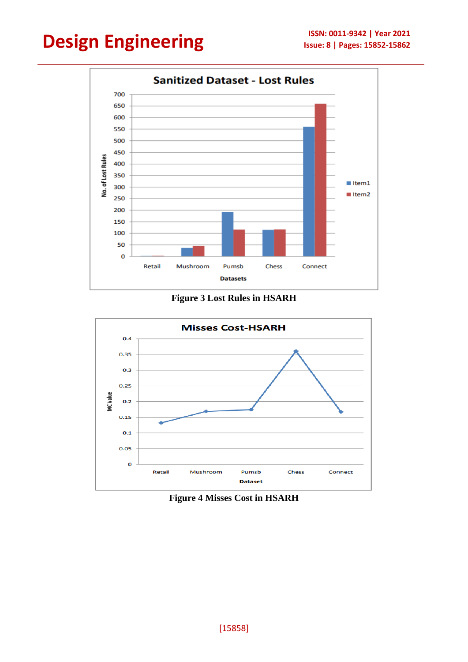

**Figure 3 Lost Rules in HSARH**



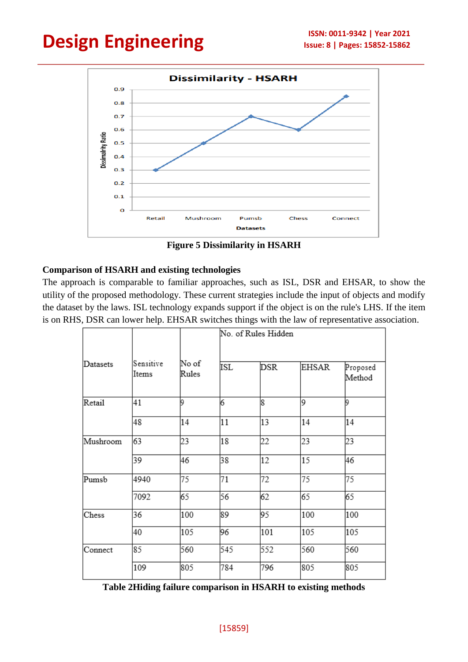

**Figure 5 Dissimilarity in HSARH**

#### **Comparison of HSARH and existing technologies**

The approach is comparable to familiar approaches, such as ISL, DSR and EHSAR, to show the utility of the proposed methodology. These current strategies include the input of objects and modify the dataset by the laws. ISL technology expands support if the object is on the rule's LHS. If the item is on RHS, DSR can lower help. EHSAR switches things with the law of representative association.

|          | Sensitive<br>Items | No of<br>Rules | No. of Rules Hidden |     |       |                    |  |
|----------|--------------------|----------------|---------------------|-----|-------|--------------------|--|
| Datasets |                    |                | ISL                 | DSR | EHSAR | Proposed<br>Method |  |
| Retail   | 41                 | l9             | 16                  | 18  | 9     | 19                 |  |
|          | 48                 | 14             | 11                  | 13  | 14    | 14                 |  |
| Mushroom | 63                 | 23             | 18                  | 22  | 23    | 23                 |  |
|          | 39                 | 46             | 38                  | 12  | 15    | 46                 |  |
| Pumsb    | 4940               | 75             | 71                  | 72  | 75    | 75                 |  |
|          | 7092               | 65             | 56                  | 62  | 65    | 65                 |  |
| Chess    | 36                 | 100            | 89                  | 95  | 100   | 100                |  |
|          | 40                 | 105            | 96                  | 101 | 105   | 105                |  |
| Connect  | 85                 | 560            | 545                 | 552 | 560   | 560                |  |
|          | 109                | 805            | 784                 | 796 | 805   | 805                |  |

**Table 2Hiding failure comparison in HSARH to existing methods**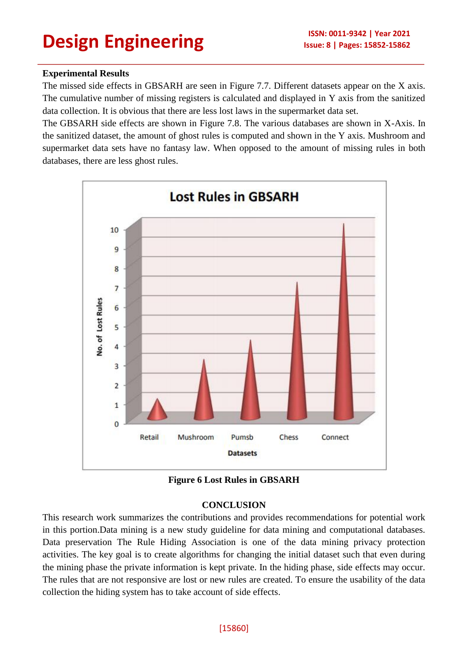#### **Experimental Results**

The missed side effects in GBSARH are seen in Figure 7.7. Different datasets appear on the X axis. The cumulative number of missing registers is calculated and displayed in Y axis from the sanitized data collection. It is obvious that there are less lost laws in the supermarket data set.

The GBSARH side effects are shown in Figure 7.8. The various databases are shown in X-Axis. In the sanitized dataset, the amount of ghost rules is computed and shown in the Y axis. Mushroom and supermarket data sets have no fantasy law. When opposed to the amount of missing rules in both databases, there are less ghost rules.



**Figure 6 Lost Rules in GBSARH**

#### **CONCLUSION**

This research work summarizes the contributions and provides recommendations for potential work in this portion.Data mining is a new study guideline for data mining and computational databases. Data preservation The Rule Hiding Association is one of the data mining privacy protection activities. The key goal is to create algorithms for changing the initial dataset such that even during the mining phase the private information is kept private. In the hiding phase, side effects may occur. The rules that are not responsive are lost or new rules are created. To ensure the usability of the data collection the hiding system has to take account of side effects.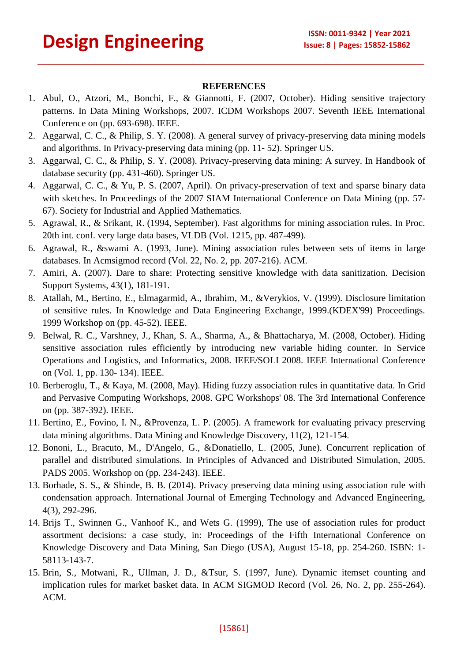#### **REFERENCES**

- 1. Abul, O., Atzori, M., Bonchi, F., & Giannotti, F. (2007, October). Hiding sensitive trajectory patterns. In Data Mining Workshops, 2007. ICDM Workshops 2007. Seventh IEEE International Conference on (pp. 693-698). IEEE.
- 2. Aggarwal, C. C., & Philip, S. Y. (2008). A general survey of privacy-preserving data mining models and algorithms. In Privacy-preserving data mining (pp. 11- 52). Springer US.
- 3. Aggarwal, C. C., & Philip, S. Y. (2008). Privacy-preserving data mining: A survey. In Handbook of database security (pp. 431-460). Springer US.
- 4. Aggarwal, C. C., & Yu, P. S. (2007, April). On privacy-preservation of text and sparse binary data with sketches. In Proceedings of the 2007 SIAM International Conference on Data Mining (pp. 57-67). Society for Industrial and Applied Mathematics.
- 5. Agrawal, R., & Srikant, R. (1994, September). Fast algorithms for mining association rules. In Proc. 20th int. conf. very large data bases, VLDB (Vol. 1215, pp. 487-499).
- 6. Agrawal, R., &swami A. (1993, June). Mining association rules between sets of items in large databases. In Acmsigmod record (Vol. 22, No. 2, pp. 207-216). ACM.
- 7. Amiri, A. (2007). Dare to share: Protecting sensitive knowledge with data sanitization. Decision Support Systems, 43(1), 181-191.
- 8. Atallah, M., Bertino, E., Elmagarmid, A., Ibrahim, M., &Verykios, V. (1999). Disclosure limitation of sensitive rules. In Knowledge and Data Engineering Exchange, 1999.(KDEX'99) Proceedings. 1999 Workshop on (pp. 45-52). IEEE.
- 9. Belwal, R. C., Varshney, J., Khan, S. A., Sharma, A., & Bhattacharya, M. (2008, October). Hiding sensitive association rules efficiently by introducing new variable hiding counter. In Service Operations and Logistics, and Informatics, 2008. IEEE/SOLI 2008. IEEE International Conference on (Vol. 1, pp. 130- 134). IEEE.
- 10. Berberoglu, T., & Kaya, M. (2008, May). Hiding fuzzy association rules in quantitative data. In Grid and Pervasive Computing Workshops, 2008. GPC Workshops' 08. The 3rd International Conference on (pp. 387-392). IEEE.
- 11. Bertino, E., Fovino, I. N., &Provenza, L. P. (2005). A framework for evaluating privacy preserving data mining algorithms. Data Mining and Knowledge Discovery, 11(2), 121-154.
- 12. Bononi, L., Bracuto, M., D'Angelo, G., &Donatiello, L. (2005, June). Concurrent replication of parallel and distributed simulations. In Principles of Advanced and Distributed Simulation, 2005. PADS 2005. Workshop on (pp. 234-243). IEEE.
- 13. Borhade, S. S., & Shinde, B. B. (2014). Privacy preserving data mining using association rule with condensation approach. International Journal of Emerging Technology and Advanced Engineering, 4(3), 292-296.
- 14. Brijs T., Swinnen G., Vanhoof K., and Wets G. (1999), The use of association rules for product assortment decisions: a case study, in: Proceedings of the Fifth International Conference on Knowledge Discovery and Data Mining, San Diego (USA), August 15-18, pp. 254-260. ISBN: 1- 58113-143-7.
- 15. Brin, S., Motwani, R., Ullman, J. D., &Tsur, S. (1997, June). Dynamic itemset counting and implication rules for market basket data. In ACM SIGMOD Record (Vol. 26, No. 2, pp. 255-264). ACM.